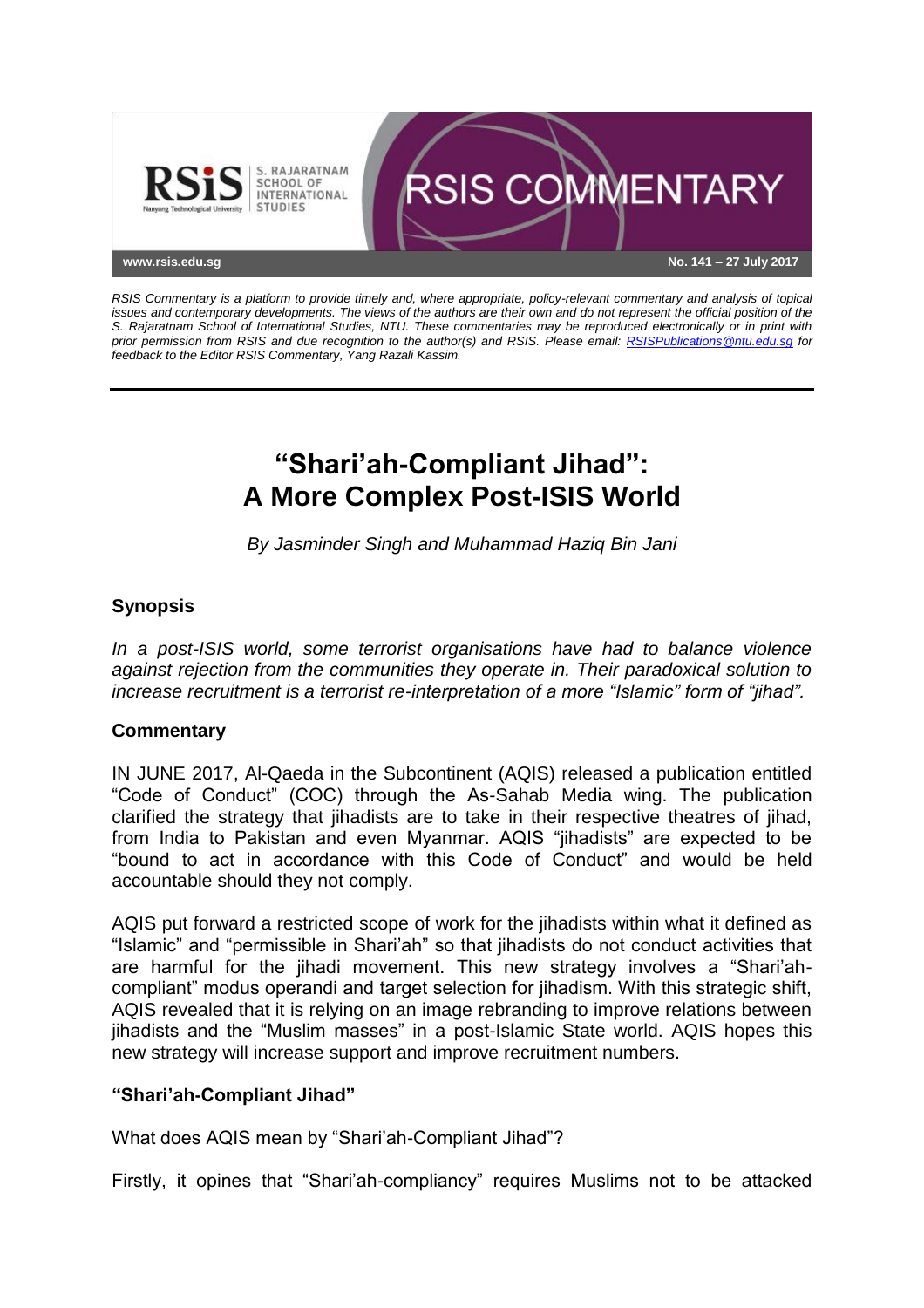

*RSIS Commentary is a platform to provide timely and, where appropriate, policy-relevant commentary and analysis of topical issues and contemporary developments. The views of the authors are their own and do not represent the official position of the S. Rajaratnam School of International Studies, NTU. These commentaries may be reproduced electronically or in print with prior permission from RSIS and due recognition to the author(s) and RSIS. Please email: [RSISPublications@ntu.edu.sg](mailto:RSISPublications@ntu.edu.sg) for feedback to the Editor RSIS Commentary, Yang Razali Kassim.*

# **"Shari'ah-Compliant Jihad": A More Complex Post-ISIS World**

*By Jasminder Singh and Muhammad Haziq Bin Jani*

## **Synopsis**

*In a post-ISIS world, some terrorist organisations have had to balance violence against rejection from the communities they operate in. Their paradoxical solution to increase recruitment is a terrorist re-interpretation of a more "Islamic" form of "jihad".*

## **Commentary**

IN JUNE 2017, Al-Qaeda in the Subcontinent (AQIS) released a publication entitled "Code of Conduct" (COC) through the As-Sahab Media wing. The publication clarified the strategy that jihadists are to take in their respective theatres of jihad, from India to Pakistan and even Myanmar. AQIS "jihadists" are expected to be "bound to act in accordance with this Code of Conduct" and would be held accountable should they not comply.

AQIS put forward a restricted scope of work for the jihadists within what it defined as "Islamic" and "permissible in Shari'ah" so that jihadists do not conduct activities that are harmful for the jihadi movement. This new strategy involves a "Shari'ahcompliant" modus operandi and target selection for jihadism. With this strategic shift, AQIS revealed that it is relying on an image rebranding to improve relations between jihadists and the "Muslim masses" in a post-Islamic State world. AQIS hopes this new strategy will increase support and improve recruitment numbers.

### **"Shari'ah-Compliant Jihad"**

What does AQIS mean by "Shari'ah-Compliant Jihad"?

Firstly, it opines that "Shari'ah-compliancy" requires Muslims not to be attacked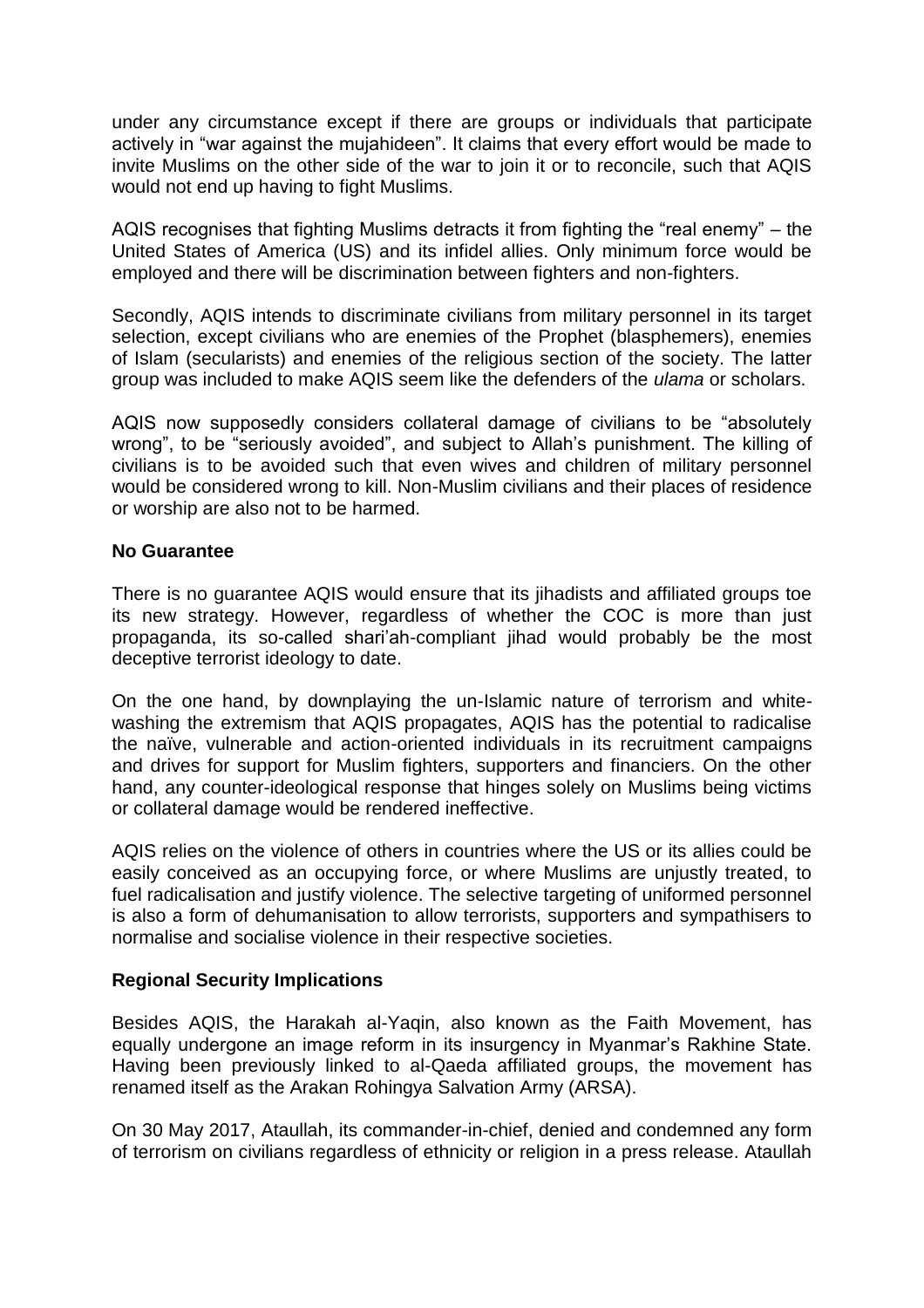under any circumstance except if there are groups or individuals that participate actively in "war against the mujahideen". It claims that every effort would be made to invite Muslims on the other side of the war to join it or to reconcile, such that AQIS would not end up having to fight Muslims.

AQIS recognises that fighting Muslims detracts it from fighting the "real enemy" – the United States of America (US) and its infidel allies. Only minimum force would be employed and there will be discrimination between fighters and non-fighters.

Secondly, AQIS intends to discriminate civilians from military personnel in its target selection, except civilians who are enemies of the Prophet (blasphemers), enemies of Islam (secularists) and enemies of the religious section of the society. The latter group was included to make AQIS seem like the defenders of the *ulama* or scholars.

AQIS now supposedly considers collateral damage of civilians to be "absolutely wrong", to be "seriously avoided", and subject to Allah's punishment. The killing of civilians is to be avoided such that even wives and children of military personnel would be considered wrong to kill. Non-Muslim civilians and their places of residence or worship are also not to be harmed.

#### **No Guarantee**

There is no guarantee AQIS would ensure that its jihadists and affiliated groups toe its new strategy. However, regardless of whether the COC is more than just propaganda, its so-called shari'ah-compliant jihad would probably be the most deceptive terrorist ideology to date.

On the one hand, by downplaying the un-Islamic nature of terrorism and whitewashing the extremism that AQIS propagates, AQIS has the potential to radicalise the naïve, vulnerable and action-oriented individuals in its recruitment campaigns and drives for support for Muslim fighters, supporters and financiers. On the other hand, any counter-ideological response that hinges solely on Muslims being victims or collateral damage would be rendered ineffective.

AQIS relies on the violence of others in countries where the US or its allies could be easily conceived as an occupying force, or where Muslims are unjustly treated, to fuel radicalisation and justify violence. The selective targeting of uniformed personnel is also a form of dehumanisation to allow terrorists, supporters and sympathisers to normalise and socialise violence in their respective societies.

### **Regional Security Implications**

Besides AQIS, the Harakah al-Yaqin, also known as the Faith Movement, has equally undergone an image reform in its insurgency in Myanmar's Rakhine State. Having been previously linked to al-Qaeda affiliated groups, the movement has renamed itself as the Arakan Rohingya Salvation Army (ARSA).

On 30 May 2017, Ataullah, its commander-in-chief, denied and condemned any form of terrorism on civilians regardless of ethnicity or religion in a press release. Ataullah